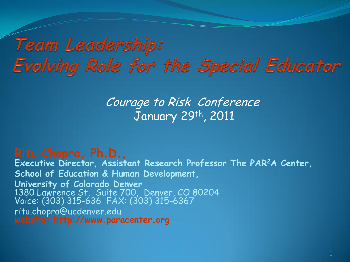#### Team Leadership: Evolving Role for the Special Educator

Courage to Risk Conference January 29th, 2011

**Ritu Chopra, Ph.D., Executive Director, Assistant Research Professor The PAR<sup>2</sup>A Center, School of Education & Human Development, University of Colorado Denver**  1380 Lawrence St. Suite 700, Denver, CO 80204 Voice: (303) 315-636 FAX: (303) 315-6367 ritu.chopra@ucdenver.edu **website: http://www.paracenter.org**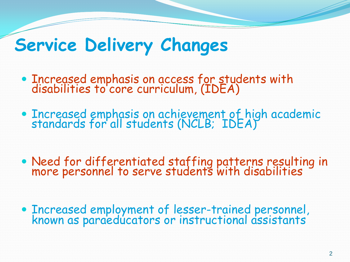#### **Service Delivery Changes**

- Increased emphasis on access for students with disabilities to core curriculum, (IDEA)
- Increased emphasis on achievement of high academic standards for all students (NCLB; IDEA)
- Need for differentiated staffing patterns resulting in more personnel to serve students with disabilities
- Increased employment of lesser-trained personnel, known as paraeducators or instructional assistants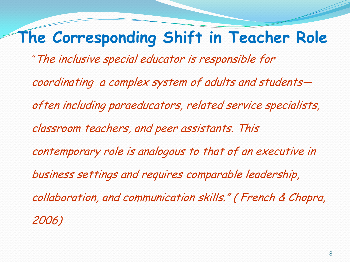#### **The Corresponding Shift in Teacher Role**

*"*The inclusive special educator is responsible for

coordinating a complex system of adults and students often including paraeducators, related service specialists, classroom teachers, and peer assistants. This contemporary role is analogous to that of an executive in business settings and requires comparable leadership, collaboration, and communication skills." ( French & Chopra, 2006)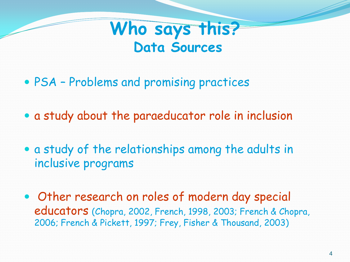#### **Who says this? Data Sources**

- PSA Problems and promising practices
- a study about the paraeducator role in inclusion
- a study of the relationships among the adults in inclusive programs
- Other research on roles of modern day special educators (Chopra, 2002, French, 1998, 2003; French & Chopra, 2006; French & Pickett, 1997; Frey, Fisher & Thousand, 2003)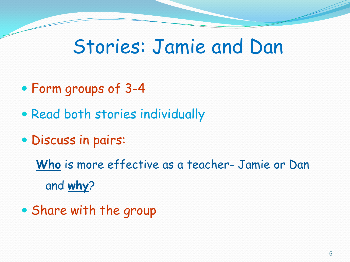#### Stories: Jamie and Dan

- Form groups of 3-4
- Read both stories individually
- Discuss in pairs:

**Who** is more effective as a teacher- Jamie or Dan and **why**?

Share with the group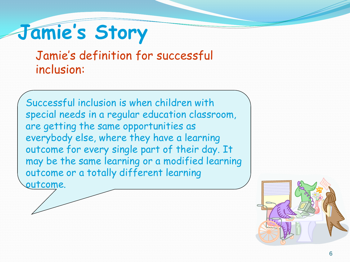# **Jamie's Story**

#### Jamie's definition for successful inclusion:

Successful inclusion is when children with special needs in a regular education classroom, are getting the same opportunities as everybody else, where they have a learning outcome for every single part of their day. It may be the same learning or a modified learning outcome or a totally different learning

outcome.

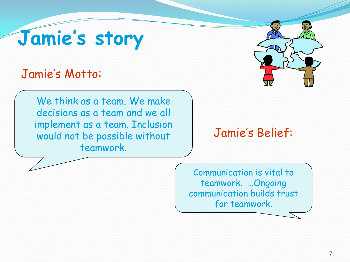# **Jamie's story**

#### Jamie's Motto:

We think as a team. We make decisions as a team and we all implement as a team. Inclusion would not be possible without teamwork.



#### Jamie's Belief:

Communication is vital to teamwork. …Ongoing communication builds trust for teamwork.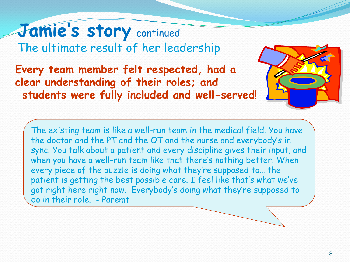**Jamie's story** continued The ultimate result of her leadership

**Every team member felt respected, had a clear understanding of their roles; and students were fully included and well-served**!

The existing team is like a well-run team in the medical field. You have the doctor and the PT and the OT and the nurse and everybody's in sync. You talk about a patient and every discipline gives their input, and when you have a well-run team like that there's nothing better. When every piece of the puzzle is doing what they're supposed to… the patient is getting the best possible care. I feel like that's what we've got right here right now. Everybody's doing what they're supposed to do in their role. - Paremt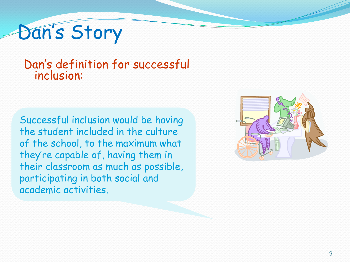# Dan's Story

#### Dan's definition for successful inclusion:

Successful inclusion would be having the student included in the culture of the school, to the maximum what they're capable of, having them in their classroom as much as possible, participating in both social and academic activities.

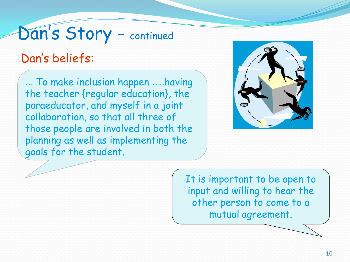# Dan's Story - continued

#### Dan's beliefs:

... To make inclusion happen ….having the teacher {regular education}, the paraeducator, and myself in a joint collaboration, so that all three of those people are involved in both the planning as well as implementing the goals for the student.



It is important to be open to input and willing to hear the other person to come to a mutual agreement.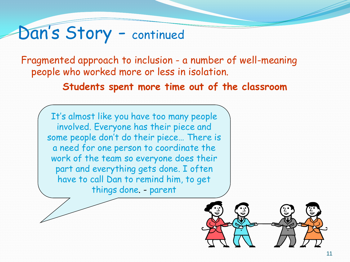### Dan's Story - continued

Fragmented approach to inclusion - a number of well-meaning people who worked more or less in isolation.

**Students spent more time out of the classroom**

It's almost like you have too many people involved. Everyone has their piece and some people don't do their piece… There is a need for one person to coordinate the work of the team so everyone does their part and everything gets done. I often have to call Dan to remind him, to get things done. - parent

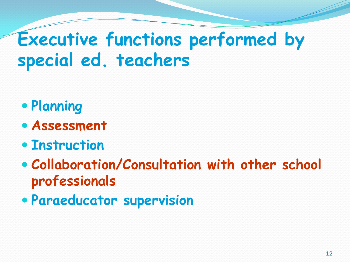## **Executive functions performed by special ed. teachers**

- **Planning**
- **Assessment**
- **Instruction**
- **Collaboration/Consultation with other school professionals**
- **Paraeducator supervision**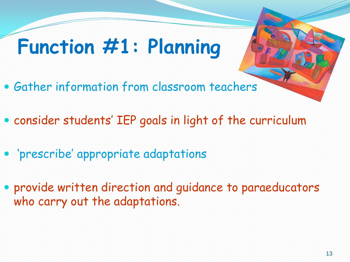# **Function #1: Planning**

- Gather information from classroom teachers
- consider students' IEP goals in light of the curriculum
- 'prescribe' appropriate adaptations
- provide written direction and guidance to paraeducators who carry out the adaptations.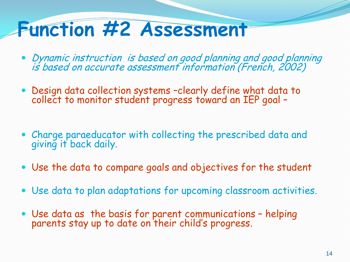## **Function #2 Assessment**

- Dynamic instruction is based on good planning and good planning is based on accurate assessment information (French, 2002)
- Design data collection systems –clearly define what data to collect to monitor student progress toward an IEP goal –
- Charge paraeducator with collecting the prescribed data and giving it back daily.
- Use the data to compare goals and objectives for the student
- Use data to plan adaptations for upcoming classroom activities.
- Use data as the basis for parent communications helping parents stay up to date on their child's progress.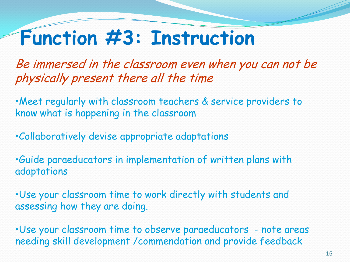### **Function #3: Instruction**

Be immersed in the classroom even when you can not be physically present there all the time

•Meet regularly with classroom teachers & service providers to know what is happening in the classroom

•Collaboratively devise appropriate adaptations

•Guide paraeducators in implementation of written plans with adaptations

•Use your classroom time to work directly with students and assessing how they are doing.

•Use your classroom time to observe paraeducators - note areas needing skill development /commendation and provide feedback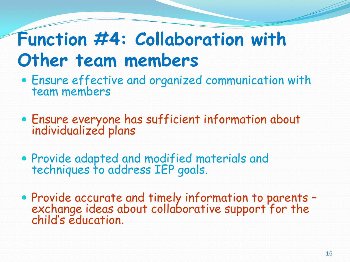### **Function #4: Collaboration with Other team members**

- Ensure effective and organized communication with team members
- Ensure everyone has sufficient information about individualized plans
- Provide adapted and modified materials and techniques to address IEP goals.
- Provide accurate and timely information to parents exchange ideas about collaborative support for the child's education.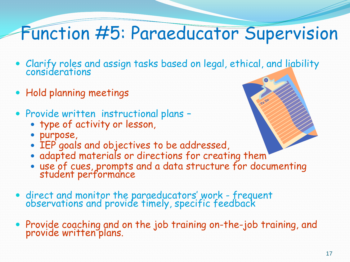# Function #5: Paraeducator Supervision

- Clarify roles and assign tasks based on legal, ethical, and liability considerations
- Hold planning meetings
- Provide written instructional plans -
	- type of activity or lesson,
	- purpose,
	- IEP goals and objectives to be addressed,
	- adapted materials or directions for creating them
	- use of cues, prompts and a data structure for documenting student performance
- direct and monitor the paraeducators' work frequent observations and provide timely, specific feedback
- Provide coaching and on the job training on-the-job training, and provide written plans.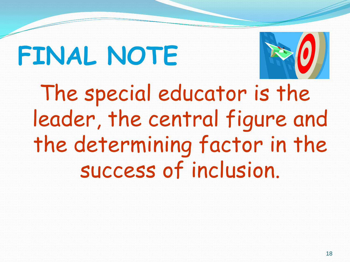# **FINAL NOTE**



The special educator is the leader, the central figure and the determining factor in the success of inclusion.